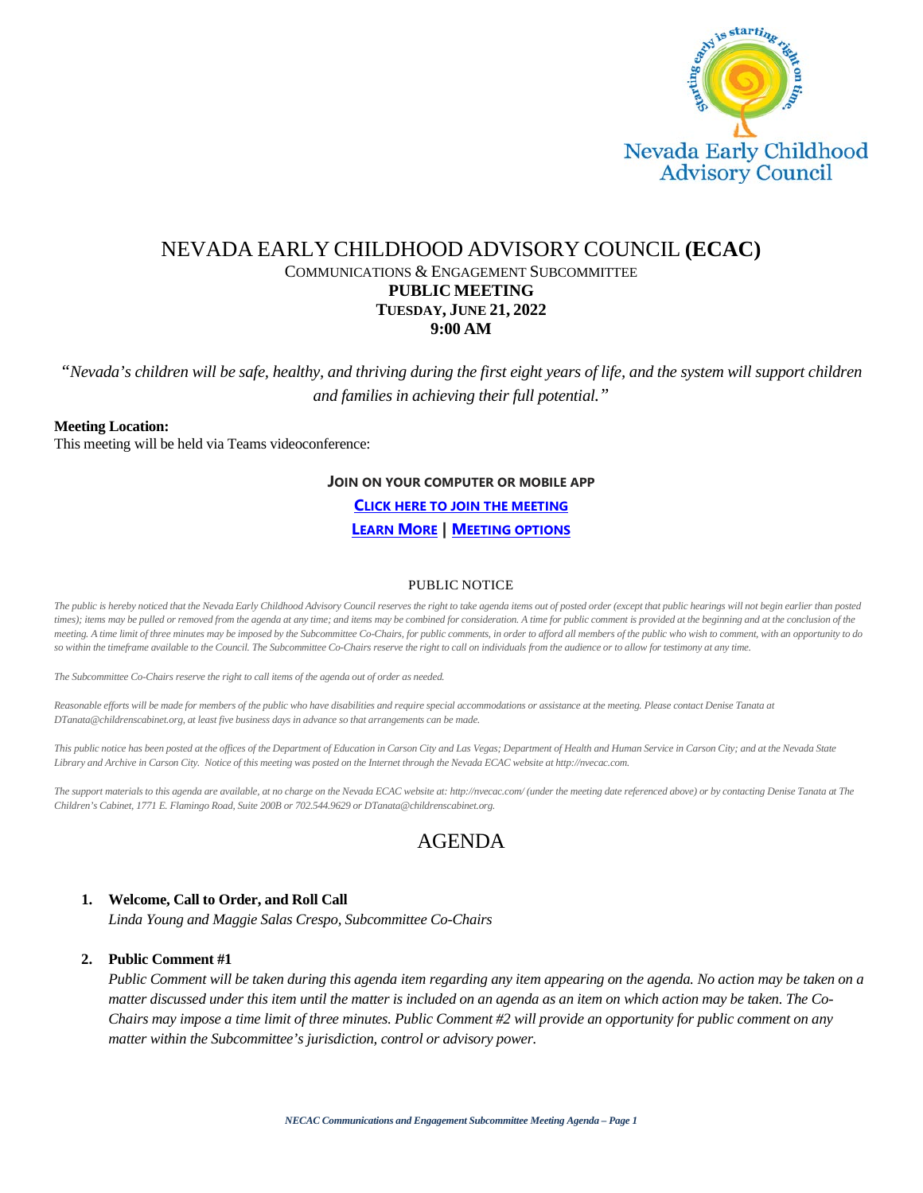

## NEVADA EARLY CHILDHOOD ADVISORY COUNCIL **(ECAC)** COMMUNICATIONS & ENGAGEMENT SUBCOMMITTEE **PUBLIC MEETING TUESDAY, JUNE 21, 2022 9:00 AM**

*"Nevada's children will be safe, healthy, and thriving during the first eight years of life, and the system will support children and families in achieving their full potential."*

#### **Meeting Location:**

This meeting will be held via Teams videoconference:

#### **JOIN ON YOUR COMPUTER OR MOBILE APP**

**[CLICK HERE TO JOIN THE MEETING](https://teams.microsoft.com/l/meetup-join/19%3ameeting_YzEzOGIxOGUtMzI3ZS00MTRjLTk1MzItNmJhZWIxODQ5MDcy%40thread.v2/0?context=%7b%22Tid%22%3a%2279ba5f34-3adf-4b67-a319-49c7b03a429f%22%2c%22Oid%22%3a%221d561be2-e2c0-4e59-8e44-60a39df27762%22%7d)**

**[LEARN MORE](https://aka.ms/JoinTeamsMeeting) | [MEETING OPTIONS](https://teams.microsoft.com/meetingOptions/?organizerId=1d561be2-e2c0-4e59-8e44-60a39df27762&tenantId=79ba5f34-3adf-4b67-a319-49c7b03a429f&threadId=19_meeting_YzEzOGIxOGUtMzI3ZS00MTRjLTk1MzItNmJhZWIxODQ5MDcy@thread.v2&messageId=0&language=en-US)**

#### PUBLIC NOTICE

The public is hereby noticed that the Nevada Early Childhood Advisory Council reserves the right to take agenda items out of posted order (except that public hearings will not begin earlier than posted *times); items may be pulled or removed from the agenda at any time; and items may be combined for consideration. A time for public comment is provided at the beginning and at the conclusion of the meeting. A time limit of three minutes may be imposed by the Subcommittee Co-Chairs, for public comments, in order to afford all members of the public who wish to comment, with an opportunity to do*  so within the timeframe available to the Council. The Subcommittee Co-Chairs reserve the right to call on individuals from the audience or to allow for testimony at any time.

*The Subcommittee Co-Chairs reserve the right to call items of the agenda out of order as needed.*

Reasonable efforts will be made for members of the public who have disabilities and require special accommodations or assistance at the meeting. Please contact Denise Tanata at *DTanata@childrenscabinet.org, at least five business days in advance so that arrangements can be made.*

This public notice has been posted at the offices of the Department of Education in Carson City and Las Vegas; Department of Health and Human Service in Carson City; and at the Nevada State *Library and Archive in Carson City. Notice of this meeting was posted on the Internet through the Nevada ECAC website at http://nvecac.com.*

*The support materials to this agenda are available, at no charge on the Nevada ECAC website at: http://nvecac.com/ (under the meeting date referenced above) or by contacting Denise Tanata at The Children's Cabinet, 1771 E. Flamingo Road, Suite 200B or 702.544.9629 or DTanata@childrenscabinet.org.*

# AGENDA

#### **1. Welcome, Call to Order, and Roll Call**

*Linda Young and Maggie Salas Crespo, Subcommittee Co-Chairs*

#### **2. Public Comment #1**

*Public Comment will be taken during this agenda item regarding any item appearing on the agenda. No action may be taken on a matter discussed under this item until the matter is included on an agenda as an item on which action may be taken. The Co-Chairs may impose a time limit of three minutes. Public Comment #2 will provide an opportunity for public comment on any matter within the Subcommittee's jurisdiction, control or advisory power.*